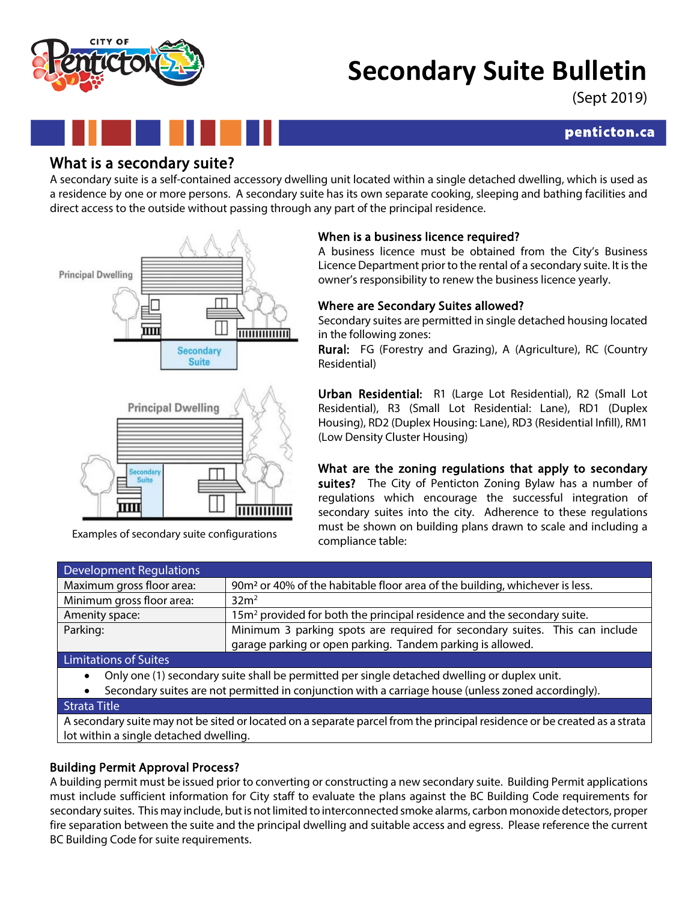# **Secondary Suite Bulletin**

(Sept 2019)

# penticton.ca

What is a secondary suite?<br>A secondary suite is a self-contained accessory dwelling unit located within a single detached dwelling, which is used as a residence by one or more persons. A secondary suite has its own separate cooking, sleeping and bathing facilities and direct access to the outside without passing through any part of the principal residence.





Examples of secondary suite configurations

# When is a business licence required?

A business licence must be obtained from the City's Business Licence Department prior to the rental of a secondary suite. It is the owner's responsibility to renew the business licence yearly.

# Where are Secondary Suites allowed?

Secondary suites are permitted in single detached housing located in the following zones:

Rural: FG (Forestry and Grazing), A (Agriculture), RC (Country Residential)

Urban Residential: R1 (Large Lot Residential), R2 (Small Lot Residential), R3 (Small Lot Residential: Lane), RD1 (Duplex Housing), RD2 (Duplex Housing: Lane), RD3 (Residential Infill), RM1 (Low Density Cluster Housing)

What are the zoning regulations that apply to secondary suites? The City of Penticton Zoning Bylaw has a number of regulations which encourage the successful integration of secondary suites into the city. Adherence to these regulations must be shown on building plans drawn to scale and including a compliance table:

| <b>Development Regulations</b> |                                                                                                                                           |
|--------------------------------|-------------------------------------------------------------------------------------------------------------------------------------------|
| Maximum gross floor area:      | 90m <sup>2</sup> or 40% of the habitable floor area of the building, whichever is less.                                                   |
| Minimum gross floor area:      | 32m <sup>2</sup>                                                                                                                          |
| Amenity space:                 | $15m2$ provided for both the principal residence and the secondary suite.                                                                 |
| Parking:                       | Minimum 3 parking spots are required for secondary suites. This can include<br>garage parking or open parking. Tandem parking is allowed. |
| Limitations of Suitos          |                                                                                                                                           |

Limitations of Suites

- Only one (1) secondary suite shall be permitted per single detached dwelling or duplex unit.
- Secondary suites are not permitted in conjunction with a carriage house (unless zoned accordingly).

### Strata Title

A secondary suite may not be sited or located on a separate parcel from the principal residence or be created as a strata lot within a single detached dwelling.

# Building Permit Approval Process?

A building permit must be issued prior to converting or constructing a new secondary suite. Building Permit applications must include sufficient information for City staff to evaluate the plans against the BC Building Code requirements for secondary suites. This may include, but is not limited to interconnected smoke alarms, carbon monoxide detectors, proper fire separation between the suite and the principal dwelling and suitable access and egress. Please reference the current BC Building Code for suite requirements.